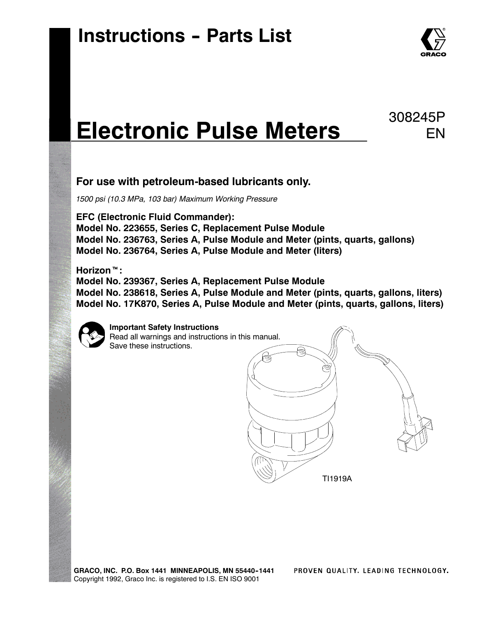

EN

308245P

# **Electronic Pulse Meters**

#### **For use with petroleum-based lubricants only.**

*1500 psi (10.3 MPa, 103 bar) Maximum Working Pressure*

**EFC (Electronic Fluid Commander): Model No. 223655, Series C, Replacement Pulse Module Model No. 236763, Series A, Pulse Module and Meter (pints, quarts, gallons) Model No. 236764, Series A, Pulse Module and Meter (liters)**

#### **Horizon<sup>™</sup>:**

**Model No. 239367, Series A, Replacement Pulse Module Model No. 238618, Series A, Pulse Module and Meter (pints, quarts, gallons, liters) Model No. 17K870, Series A, Pulse Module and Meter (pints, quarts, gallons, liters)**



**Important Safety Instructions** Read all warnings and instructions in this manual. Save these instructions.

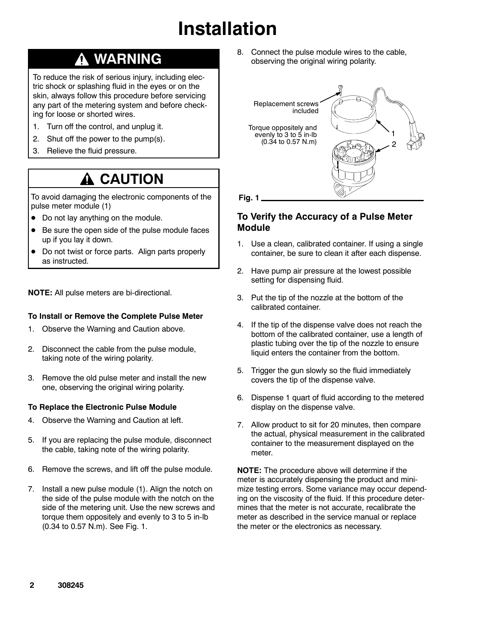# **Installation**

### **WARNING**

To reduce the risk of serious injury, including electric shock or splashing fluid in the eyes or on the skin, always follow this procedure before servicing any part of the metering system and before checking for loose or shorted wires.

- 1. Turn off the control, and unplug it.
- 2. Shut off the power to the pump(s).
- 3. Relieve the fluid pressure.

### **A CAUTION**

To avoid damaging the electronic components of the pulse meter module (1)

- Do not lay anything on the module.
- Be sure the open side of the pulse module faces up if you lay it down.
- Do not twist or force parts. Align parts properly as instructed.

**NOTE:** All pulse meters are bi-directional.

#### **To Install or Remove the Complete Pulse Meter**

- 1. Observe the Warning and Caution above.
- 2. Disconnect the cable from the pulse module, taking note of the wiring polarity.
- 3. Remove the old pulse meter and install the new one, observing the original wiring polarity.

#### **To Replace the Electronic Pulse Module**

- 4. Observe the Warning and Caution at left.
- 5. If you are replacing the pulse module, disconnect the cable, taking note of the wiring polarity.
- 6. Remove the screws, and lift off the pulse module.
- 7. Install a new pulse module (1). Align the notch on the side of the pulse module with the notch on the side of the metering unit. Use the new screws and torque them oppositely and evenly to 3 to 5 in-lb (0.34 to 0.57 N.m). See Fig. 1.

8. Connect the pulse module wires to the cable, observing the original wiring polarity.



**Fig. 1**

#### **To Verify the Accuracy of a Pulse Meter Module**

- 1. Use a clean, calibrated container. If using a single container, be sure to clean it after each dispense.
- 2. Have pump air pressure at the lowest possible setting for dispensing fluid.
- 3. Put the tip of the nozzle at the bottom of the calibrated container.
- 4. If the tip of the dispense valve does not reach the bottom of the calibrated container, use a length of plastic tubing over the tip of the nozzle to ensure liquid enters the container from the bottom.
- 5. Trigger the gun slowly so the fluid immediately covers the tip of the dispense valve.
- 6. Dispense 1 quart of fluid according to the metered display on the dispense valve.
- 7. Allow product to sit for 20 minutes, then compare the actual, physical measurement in the calibrated container to the measurement displayed on the meter.

**NOTE:** The procedure above will determine if the meter is accurately dispensing the product and minimize testing errors. Some variance may occur depending on the viscosity of the fluid. If this procedure determines that the meter is not accurate, recalibrate the meter as described in the service manual or replace the meter or the electronics as necessary.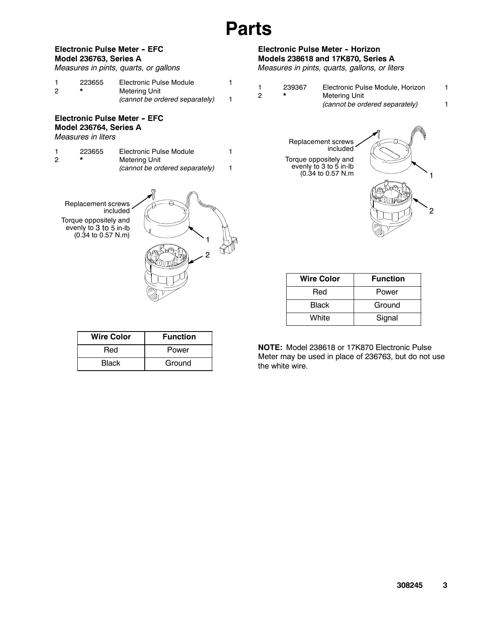# **Parts**

#### **Electronic Pulse Meter - EFC Model 236763, Series A**

|  | Measures in pints, quarts, or gallons |  |  |  |  |  |
|--|---------------------------------------|--|--|--|--|--|
|--|---------------------------------------|--|--|--|--|--|

|   | 223655 | Electronic Pulse Module        |  |
|---|--------|--------------------------------|--|
| 2 |        | Metering Unit                  |  |
|   |        | (cannot be ordered separately) |  |

#### **Electronic Pulse Meter - EFC Model 236764, Series A**

*Measures in liters*

|   | 223655 | Electronic Pulse Module        |  |
|---|--------|--------------------------------|--|
| 2 |        | Metering Unit                  |  |
|   |        | (cannot be ordered separately) |  |

Replacement screws included Torque oppositely and evenly to 3 to 5 in-lb (0.34 to 0.57 N.m)



| <b>Wire Color</b> | <b>Function</b> |
|-------------------|-----------------|
| Red               | Power           |
| Black             | Ground          |

#### **Electronic Pulse Meter - Horizon Models 238618 and 17K870, Series A**

*Measures in pints, quarts, gallons, or liters*

| 239367 | Electronic Pulse Module, Horizon |  |
|--------|----------------------------------|--|
|        | Metering Unit                    |  |
|        | (cannot be ordered separately)   |  |

Replacement screws included Torque oppositely and evenly to 3 to 5 in-lb (0.34 to 0.57 N.m



| <b>Wire Color</b> | <b>Function</b> |
|-------------------|-----------------|
| Red               | Power           |
| Black             | Ground          |
| White             | Signal          |

**NOTE:** Model 238618 or 17K870 Electronic Pulse Meter may be used in place of 236763, but do not use the white wire.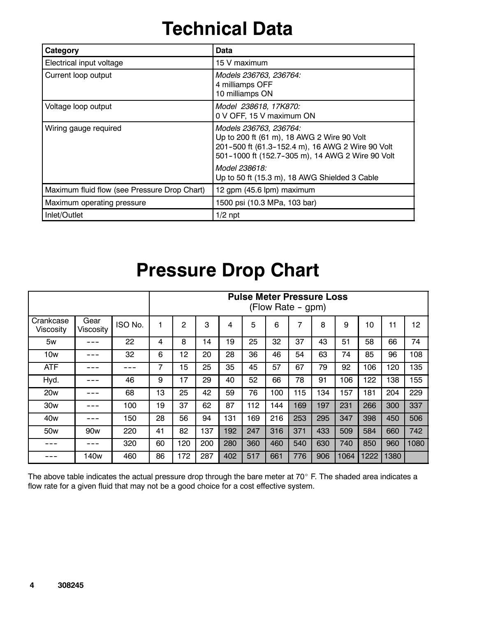# **Technical Data**

| Category                                     | Data                                                                                                                                                                                                                                           |
|----------------------------------------------|------------------------------------------------------------------------------------------------------------------------------------------------------------------------------------------------------------------------------------------------|
| Electrical input voltage                     | 15 V maximum                                                                                                                                                                                                                                   |
| Current loop output                          | Models 236763, 236764:<br>4 milliamps OFF<br>10 milliamps ON                                                                                                                                                                                   |
| Voltage loop output                          | Model 238618, 17K870:<br>0 V OFF, 15 V maximum ON                                                                                                                                                                                              |
| Wiring gauge required                        | Models 236763, 236764:<br>Up to 200 ft (61 m), 18 AWG 2 Wire 90 Volt<br>201-500 ft (61.3-152.4 m), 16 AWG 2 Wire 90 Volt<br>501-1000 ft (152.7-305 m), 14 AWG 2 Wire 90 Volt<br>Model 238618:<br>Up to 50 ft (15.3 m), 18 AWG Shielded 3 Cable |
| Maximum fluid flow (see Pressure Drop Chart) | 12 gpm (45.6 lpm) maximum                                                                                                                                                                                                                      |
| Maximum operating pressure                   | 1500 psi (10.3 MPa, 103 bar)                                                                                                                                                                                                                   |
| Inlet/Outlet                                 | $1/2$ npt                                                                                                                                                                                                                                      |

### **Pressure Drop Chart**

|                        |                   |         |    |     |     |     |     |     | <b>Pulse Meter Pressure Loss</b><br>(Flow Rate - gpm) |     |      |      |      |      |
|------------------------|-------------------|---------|----|-----|-----|-----|-----|-----|-------------------------------------------------------|-----|------|------|------|------|
| Crankcase<br>Viscosity | Gear<br>Viscosity | ISO No. |    | 2   | 3   | 4   | 5   | 6   | 7                                                     | 8   | 9    | 10   | 11   | 12   |
| 5w                     |                   | 22      | 4  | 8   | 14  | 19  | 25  | 32  | 37                                                    | 43  | 51   | 58   | 66   | 74   |
| 10w                    |                   | 32      | 6  | 12  | 20  | 28  | 36  | 46  | 54                                                    | 63  | 74   | 85   | 96   | 108  |
| <b>ATF</b>             |                   |         | 7  | 15  | 25  | 35  | 45  | 57  | 67                                                    | 79  | 92   | 106  | 120  | 135  |
| Hyd.                   |                   | 46      | 9  | 17  | 29  | 40  | 52  | 66  | 78                                                    | 91  | 106  | 122  | 138  | 155  |
| 20 <sub>w</sub>        |                   | 68      | 13 | 25  | 42  | 59  | 76  | 100 | 115                                                   | 134 | 157  | 181  | 204  | 229  |
| 30 <sub>w</sub>        |                   | 100     | 19 | 37  | 62  | 87  | 112 | 144 | 169                                                   | 197 | 231  | 266  | 300  | 337  |
| 40 <sub>w</sub>        |                   | 150     | 28 | 56  | 94  | 131 | 169 | 216 | 253                                                   | 295 | 347  | 398  | 450  | 506  |
| 50 <sub>w</sub>        | 90 <sub>w</sub>   | 220     | 41 | 82  | 137 | 192 | 247 | 316 | 371                                                   | 433 | 509  | 584  | 660  | 742  |
|                        |                   | 320     | 60 | 120 | 200 | 280 | 360 | 460 | 540                                                   | 630 | 740  | 850  | 960  | 1080 |
|                        | 140w              | 460     | 86 | 172 | 287 | 402 | 517 | 661 | 776                                                   | 906 | 1064 | 1222 | 1380 |      |

The above table indicates the actual pressure drop through the bare meter at 70 $^{\circ}$  F. The shaded area indicates a flow rate for a given fluid that may not be a good choice for a cost effective system.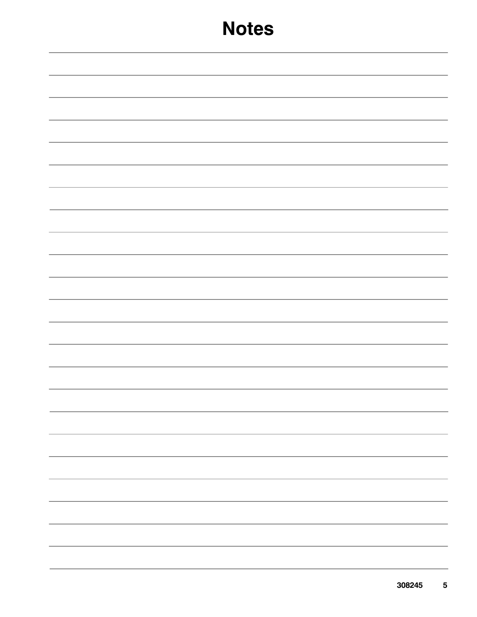### **Notes**